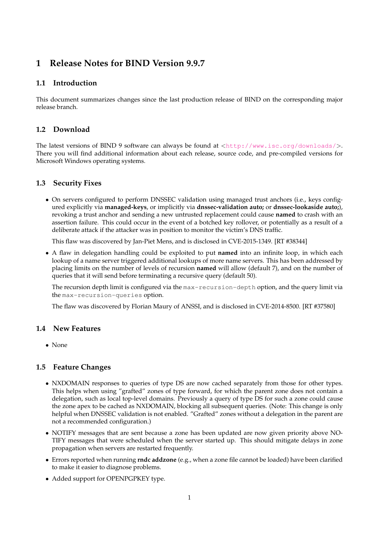# **1 Release Notes for BIND Version 9.9.7**

### **1.1 Introduction**

This document summarizes changes since the last production release of BIND on the corresponding major release branch.

## **1.2 Download**

The latest versions of BIND 9 software can always be found at  $\langle \text{http://www.isc.org/downloads/}>$  $\langle \text{http://www.isc.org/downloads/}>$  $\langle \text{http://www.isc.org/downloads/}>$ . There you will find additional information about each release, source code, and pre-compiled versions for Microsoft Windows operating systems.

## **1.3 Security Fixes**

• On servers configured to perform DNSSEC validation using managed trust anchors (i.e., keys configured explicitly via **managed-keys**, or implicitly via **dnssec-validation auto;** or **dnssec-lookaside auto;**), revoking a trust anchor and sending a new untrusted replacement could cause **named** to crash with an assertion failure. This could occur in the event of a botched key rollover, or potentially as a result of a deliberate attack if the attacker was in position to monitor the victim's DNS traffic.

This flaw was discovered by Jan-Piet Mens, and is disclosed in CVE-2015-1349. [RT #38344]

• A flaw in delegation handling could be exploited to put **named** into an infinite loop, in which each lookup of a name server triggered additional lookups of more name servers. This has been addressed by placing limits on the number of levels of recursion **named** will allow (default 7), and on the number of queries that it will send before terminating a recursive query (default 50).

The recursion depth limit is configured via the max-recursion-depth option, and the query limit via the max-recursion-queries option.

The flaw was discovered by Florian Maury of ANSSI, and is disclosed in CVE-2014-8500. [RT #37580]

#### **1.4 New Features**

• None

#### **1.5 Feature Changes**

- NXDOMAIN responses to queries of type DS are now cached separately from those for other types. This helps when using "grafted" zones of type forward, for which the parent zone does not contain a delegation, such as local top-level domains. Previously a query of type DS for such a zone could cause the zone apex to be cached as NXDOMAIN, blocking all subsequent queries. (Note: This change is only helpful when DNSSEC validation is not enabled. "Grafted" zones without a delegation in the parent are not a recommended configuration.)
- NOTIFY messages that are sent because a zone has been updated are now given priority above NO-TIFY messages that were scheduled when the server started up. This should mitigate delays in zone propagation when servers are restarted frequently.
- Errors reported when running **rndc addzone** (e.g., when a zone file cannot be loaded) have been clarified to make it easier to diagnose problems.
- Added support for OPENPGPKEY type.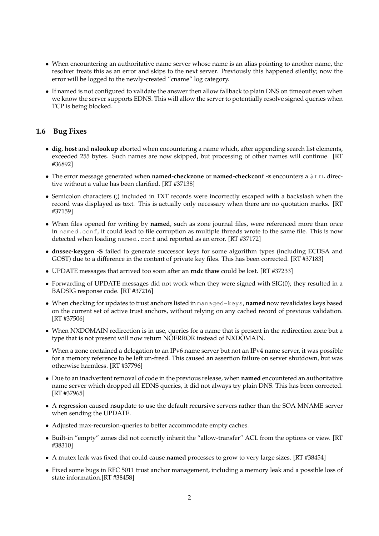- When encountering an authoritative name server whose name is an alias pointing to another name, the resolver treats this as an error and skips to the next server. Previously this happened silently; now the error will be logged to the newly-created "cname" log category.
- If named is not configured to validate the answer then allow fallback to plain DNS on timeout even when we know the server supports EDNS. This will allow the server to potentially resolve signed queries when TCP is being blocked.

#### **1.6 Bug Fixes**

- **dig**, **host** and **nslookup** aborted when encountering a name which, after appending search list elements, exceeded 255 bytes. Such names are now skipped, but processing of other names will continue. [RT #36892]
- The error message generated when **named-checkzone** or **named-checkconf -z** encounters a \$TTL directive without a value has been clarified. [RT #37138]
- Semicolon characters (;) included in TXT records were incorrectly escaped with a backslash when the record was displayed as text. This is actually only necessary when there are no quotation marks. [RT #37159]
- When files opened for writing by **named**, such as zone journal files, were referenced more than once in named.conf, it could lead to file corruption as multiple threads wrote to the same file. This is now detected when loading named.conf and reported as an error. [RT #37172]
- **dnssec-keygen -S** failed to generate successor keys for some algorithm types (including ECDSA and GOST) due to a difference in the content of private key files. This has been corrected. [RT #37183]
- UPDATE messages that arrived too soon after an **rndc thaw** could be lost. [RT #37233]
- Forwarding of UPDATE messages did not work when they were signed with SIG(0); they resulted in a BADSIG response code. [RT #37216]
- When checking for updates to trust anchors listed in managed-keys, **named** now revalidates keys based on the current set of active trust anchors, without relying on any cached record of previous validation. [RT #37506]
- When NXDOMAIN redirection is in use, queries for a name that is present in the redirection zone but a type that is not present will now return NOERROR instead of NXDOMAIN.
- When a zone contained a delegation to an IPv6 name server but not an IPv4 name server, it was possible for a memory reference to be left un-freed. This caused an assertion failure on server shutdown, but was otherwise harmless. [RT #37796]
- Due to an inadvertent removal of code in the previous release, when **named** encountered an authoritative name server which dropped all EDNS queries, it did not always try plain DNS. This has been corrected. [RT #37965]
- A regression caused nsupdate to use the default recursive servers rather than the SOA MNAME server when sending the UPDATE.
- Adjusted max-recursion-queries to better accommodate empty caches.
- Built-in "empty" zones did not correctly inherit the "allow-transfer" ACL from the options or view. [RT #38310]
- A mutex leak was fixed that could cause **named** processes to grow to very large sizes. [RT #38454]
- Fixed some bugs in RFC 5011 trust anchor management, including a memory leak and a possible loss of state information.[RT #38458]